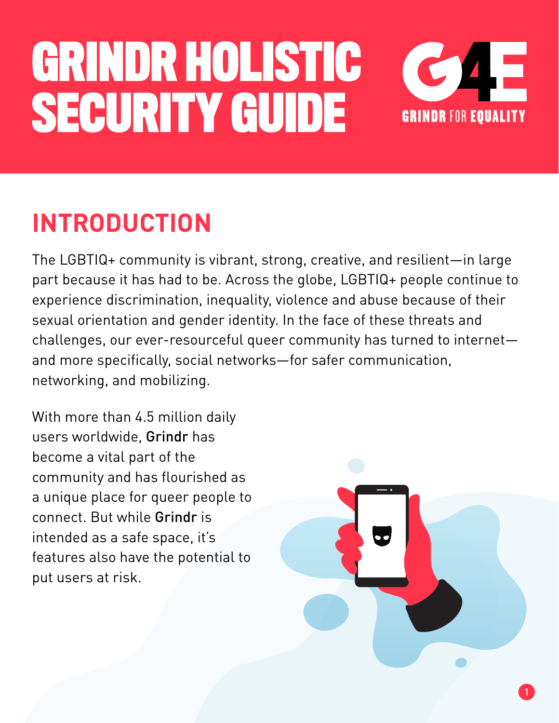

### **INTRODUCTION**

The LGBTIQ+ community is vibrant, strong, creative, and resilient—in large part because it has had to be. Across the globe, LGBTIQ+ people continue to experience discrimination, inequality, violence and abuse because of their sexual orientation and gender identity. In the face of these threats and challenges, our ever-resourceful queer community has turned to internet and more specifically, social networks—for safer communication, networking, and mobilizing.

With more than 4.5 million daily users worldwide, Grindr has become a vital part of the community and has flourished as a unique place for queer people to connect. But while Grindr is intended as a safe space, it's features also have the potential to put users at risk.

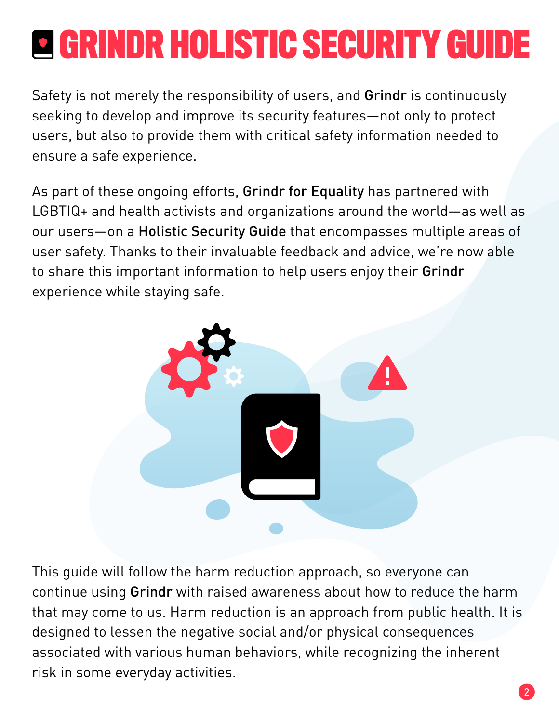Safety is not merely the responsibility of users, and Grindr is continuously seeking to develop and improve its security features—not only to protect users, but also to provide them with critical safety information needed to ensure a safe experience.

As part of these ongoing efforts, Grindr for Equality has partnered with LGBTIQ+ and health activists and organizations around the world—as well as our users—on a Holistic Security Guide that encompasses multiple areas of user safety. Thanks to their invaluable feedback and advice, we're now able to share this important information to help users enjoy their Grindr experience while staying safe.



This guide will follow the harm reduction approach, so everyone can continue using Grindr with raised awareness about how to reduce the harm that may come to us. Harm reduction is an approach from public health. It is designed to lessen the negative social and/or physical consequences associated with various human behaviors, while recognizing the inherent risk in some everyday activities.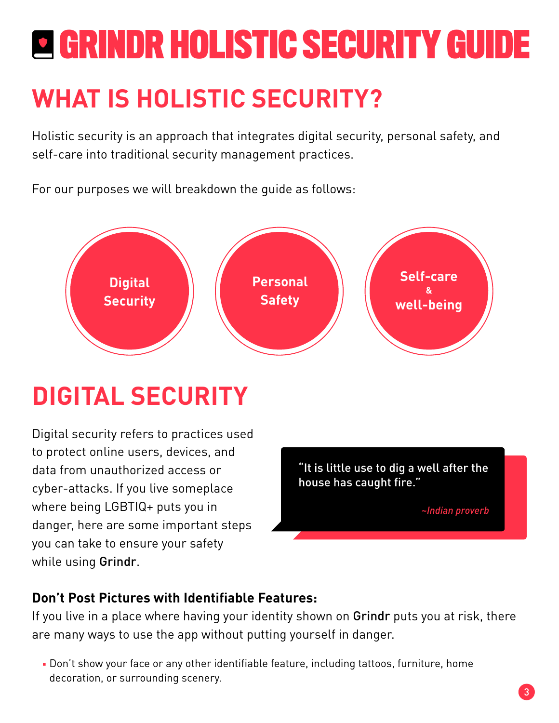### **WHAT IS HOLISTIC SECURITY?**

Holistic security is an approach that integrates digital security, personal safety, and self-care into traditional security management practices.

For our purposes we will breakdown the guide as follows:



### **DIGITAL SECURITY**

Digital security refers to practices used to protect online users, devices, and data from unauthorized access or cyber-attacks. If you live someplace where being LGBTIQ+ puts you in danger, here are some important steps you can take to ensure your safety while using Grindr.



*~Indian proverb*

#### **Don't Post Pictures with Identifiable Features:**

If you live in a place where having your identity shown on Grindr puts you at risk, there are many ways to use the app without putting yourself in danger.

Don't show your face or any other identifiable feature, including tattoos, furniture, home decoration, or surrounding scenery.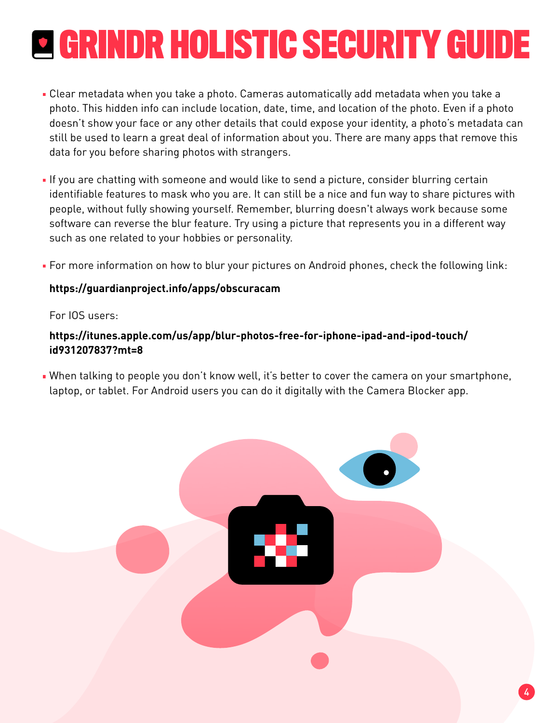- Clear metadata when you take a photo. Cameras automatically add metadata when you take a photo. This hidden info can include location, date, time, and location of the photo. Even if a photo doesn't show your face or any other details that could expose your identity, a photo's metadata can still be used to learn a great deal of information about you. There are many apps that remove this data for you before sharing photos with strangers.
- If you are chatting with someone and would like to send a picture, consider blurring certain identifiable features to mask who you are. It can still be a nice and fun way to share pictures with people, without fully showing yourself. Remember, blurring doesn't always work because some software can reverse the blur feature. Try using a picture that represents you in a different way such as one related to your hobbies or personality.
- For more information on how to blur your pictures on Android phones, check the following link:

#### **https://guardianproject.info/apps/obscuracam**

#### For IOS users:

#### **https://itunes.apple.com/us/app/blur-photos-free-for-iphone-ipad-and-ipod-touch/ id931207837?mt=8**

When talking to people you don't know well, it's better to cover the camera on your smartphone, laptop, or tablet. For Android users you can do it digitally with the Camera Blocker app.

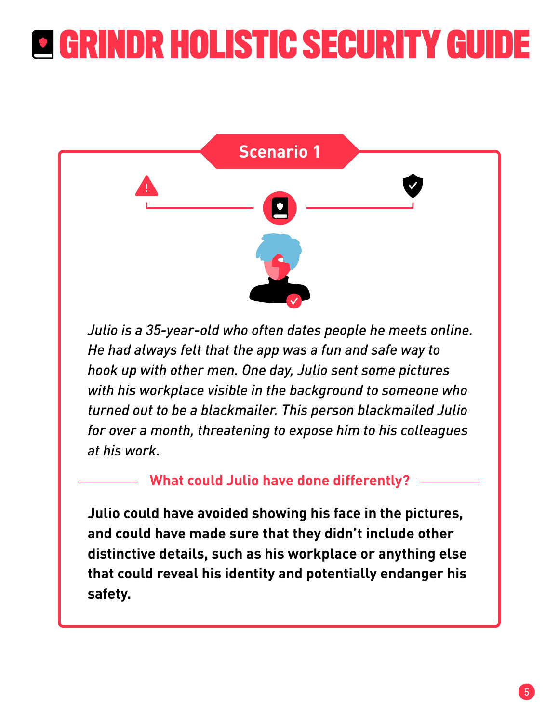

*Julio is a 35-year-old who often dates people he meets online. He had always felt that the app was a fun and safe way to hook up with other men. One day, Julio sent some pictures with his workplace visible in the background to someone who turned out to be a blackmailer. This person blackmailed Julio for over a month, threatening to expose him to his colleagues at his work.*

#### **What could Julio have done differently?**

**Julio could have avoided showing his face in the pictures, and could have made sure that they didn't include other distinctive details, such as his workplace or anything else that could reveal his identity and potentially endanger his safety.**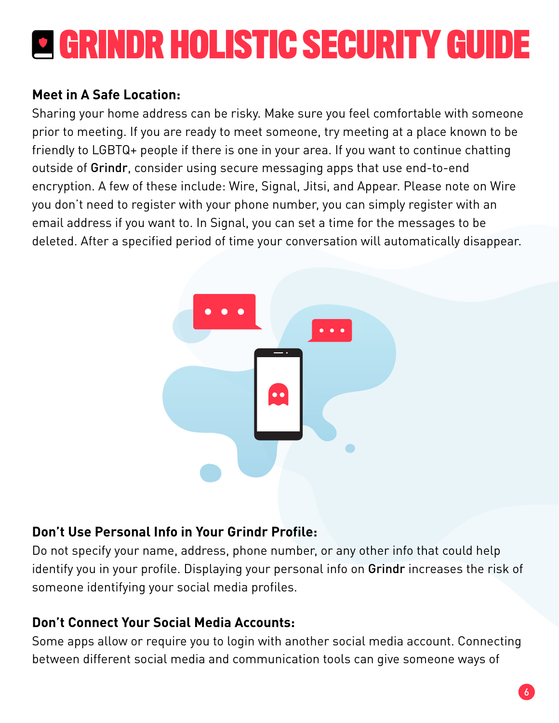#### **Meet in A Safe Location:**

Sharing your home address can be risky. Make sure you feel comfortable with someone prior to meeting. If you are ready to meet someone, try meeting at a place known to be friendly to LGBTQ+ people if there is one in your area. If you want to continue chatting outside of Grindr, consider using secure messaging apps that use end-to-end encryption. A few of these include: Wire, Signal, Jitsi, and Appear. Please note on Wire you don't need to register with your phone number, you can simply register with an email address if you want to. In Signal, you can set a time for the messages to be deleted. After a specified period of time your conversation will automatically disappear.



#### **Don't Use Personal Info in Your Grindr Profile:**

Do not specify your name, address, phone number, or any other info that could help identify you in your profile. Displaying your personal info on Grindr increases the risk of someone identifying your social media profiles.

#### **Don't Connect Your Social Media Accounts:**

Some apps allow or require you to login with another social media account. Connecting between different social media and communication tools can give someone ways of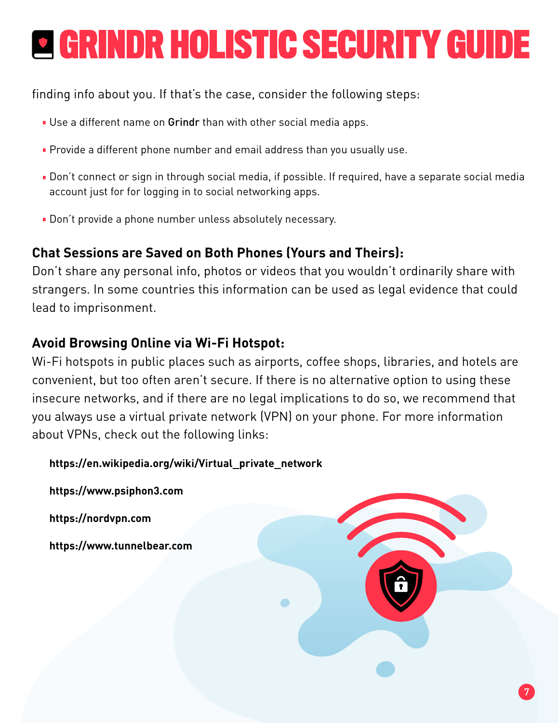finding info about you. If that's the case, consider the following steps:

- Use a different name on Grindr than with other social media apps.
- **Provide a different phone number and email address than you usually use.**
- Don't connect or sign in through social media, if possible. If required, have a separate social media account just for for logging in to social networking apps.
- Don't provide a phone number unless absolutely necessary.

#### **Chat Sessions are Saved on Both Phones (Yours and Theirs):**

Don't share any personal info, photos or videos that you wouldn't ordinarily share with strangers. In some countries this information can be used as legal evidence that could lead to imprisonment.

#### **Avoid Browsing Online via Wi-Fi Hotspot:**

Wi-Fi hotspots in public places such as airports, coffee shops, libraries, and hotels are convenient, but too often aren't secure. If there is no alternative option to using these insecure networks, and if there are no legal implications to do so, we recommend that you always use a virtual private network (VPN) on your phone. For more information about VPNs, check out the following links:

**https://en.wikipedia.org/wiki/Virtual\_private\_network**

**https://www.psiphon3.com https://nordvpn.com https://www.tunnelbear.com**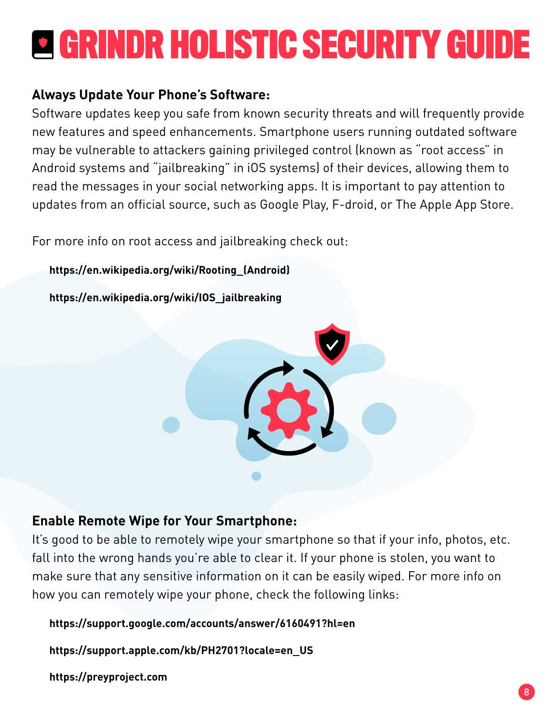#### **Always Update Your Phone's Software:**

Software updates keep you safe from known security threats and will frequently provide new features and speed enhancements. Smartphone users running outdated software may be vulnerable to attackers gaining privileged control (known as "root access" in Android systems and "jailbreaking" in iOS systems) of their devices, allowing them to read the messages in your social networking apps. It is important to pay attention to updates from an official source, such as Google Play, F-droid, or The Apple App Store.

For more info on root access and jailbreaking check out:

**https://en.wikipedia.org/wiki/Rooting\_(Android)**

**https://en.wikipedia.org/wiki/IOS\_jailbreaking**



#### **Enable Remote Wipe for Your Smartphone:**

It's good to be able to remotely wipe your smartphone so that if your info, photos, etc. fall into the wrong hands you're able to clear it. If your phone is stolen, you want to make sure that any sensitive information on it can be easily wiped. For more info on how you can remotely wipe your phone, check the following links:

**https://support.google.com/accounts/answer/6160491?hl=en**

**https://support.apple.com/kb/PH2701?locale=en\_US**

**https://preyproject.com**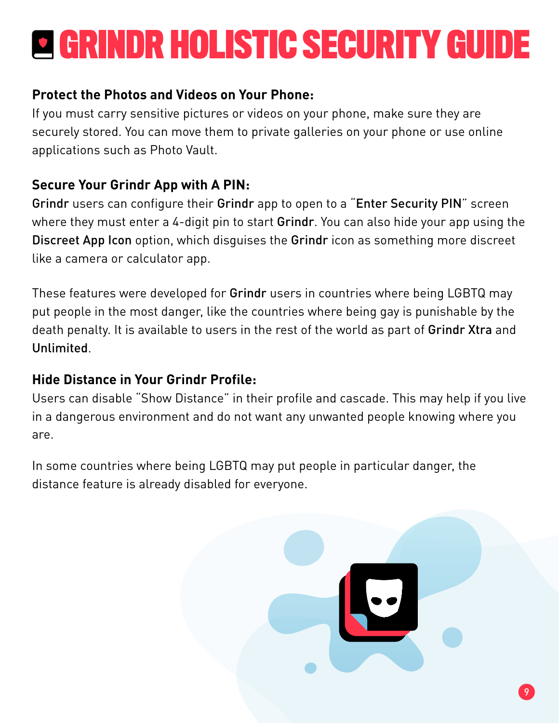#### **Protect the Photos and Videos on Your Phone:**

If you must carry sensitive pictures or videos on your phone, make sure they are securely stored. You can move them to private galleries on your phone or use online applications such as Photo Vault.

#### **Secure Your Grindr App with A PIN:**

Grindr users can configure their Grindr app to open to a "Enter Security PIN" screen where they must enter a 4-digit pin to start Grindr. You can also hide your app using the Discreet App Icon option, which disguises the Grindr icon as something more discreet like a camera or calculator app.

These features were developed for Grindr users in countries where being LGBTQ may put people in the most danger, like the countries where being gay is punishable by the death penalty. It is available to users in the rest of the world as part of Grindr Xtra and Unlimited.

#### **Hide Distance in Your Grindr Profile:**

Users can disable "Show Distance" in their profile and cascade. This may help if you live in a dangerous environment and do not want any unwanted people knowing where you are.

In some countries where being LGBTQ may put people in particular danger, the distance feature is already disabled for everyone.

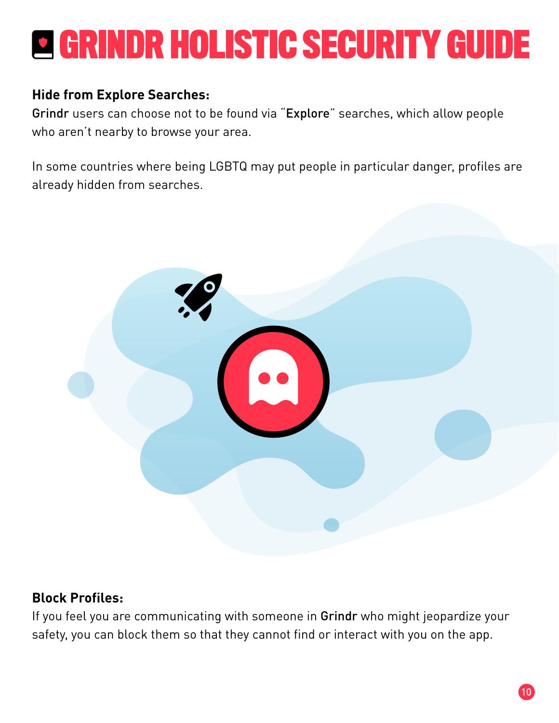#### **Hide from Explore Searches:**

Grindr users can choose not to be found via "Explore" searches, which allow people who aren't nearby to browse your area.

In some countries where being LGBTQ may put people in particular danger, profiles are already hidden from searches.



#### **Block Profiles:**

If you feel you are communicating with someone in Grindr who might jeopardize your safety, you can block them so that they cannot find or interact with you on the app.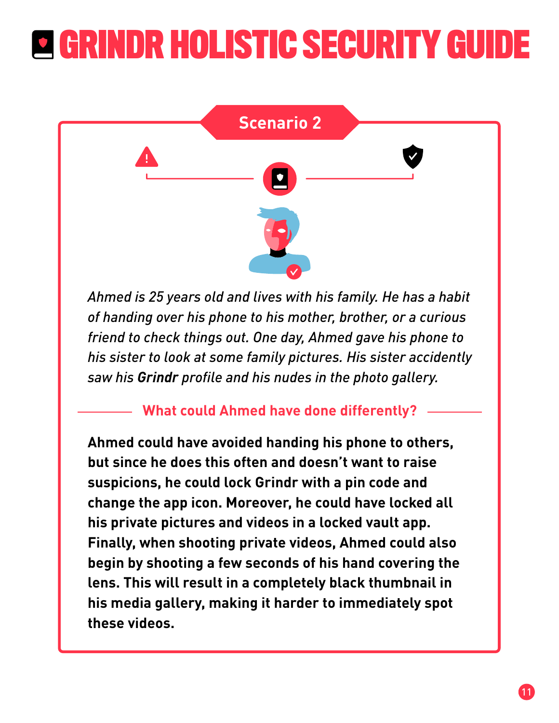

*Ahmed is 25 years old and lives with his family. He has a habit of handing over his phone to his mother, brother, or a curious friend to check things out. One day, Ahmed gave his phone to his sister to look at some family pictures. His sister accidently saw his Grindr profile and his nudes in the photo gallery.*

**What could Ahmed have done differently?**

**Ahmed could have avoided handing his phone to others, but since he does this often and doesn't want to raise suspicions, he could lock Grindr with a pin code and change the app icon. Moreover, he could have locked all his private pictures and videos in a locked vault app. Finally, when shooting private videos, Ahmed could also begin by shooting a few seconds of his hand covering the lens. This will result in a completely black thumbnail in his media gallery, making it harder to immediately spot these videos.**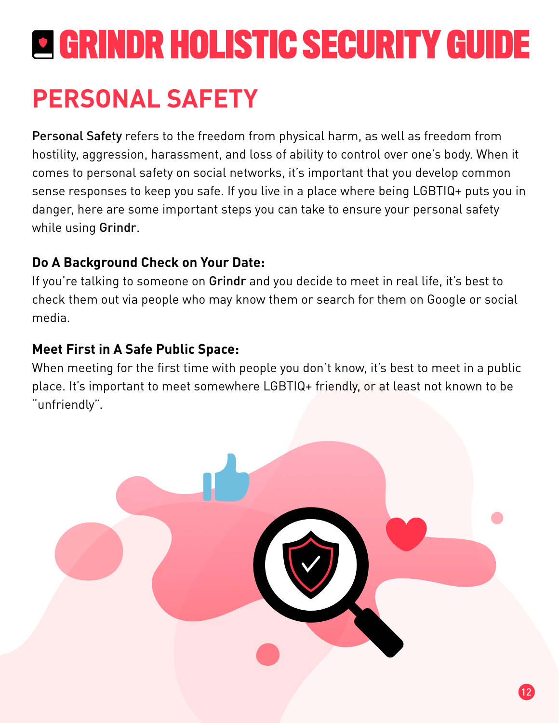### **PERSONAL SAFETY**

Personal Safety refers to the freedom from physical harm, as well as freedom from hostility, aggression, harassment, and loss of ability to control over one's body. When it comes to personal safety on social networks, it's important that you develop common sense responses to keep you safe. If you live in a place where being LGBTIQ+ puts you in danger, here are some important steps you can take to ensure your personal safety while using Grindr.

#### **Do A Background Check on Your Date:**

If you're talking to someone on Grindr and you decide to meet in real life, it's best to check them out via people who may know them or search for them on Google or social media.

#### **Meet First in A Safe Public Space:**

When meeting for the first time with people you don't know, it's best to meet in a public place. It's important to meet somewhere LGBTIQ+ friendly, or at least not known to be "unfriendly".

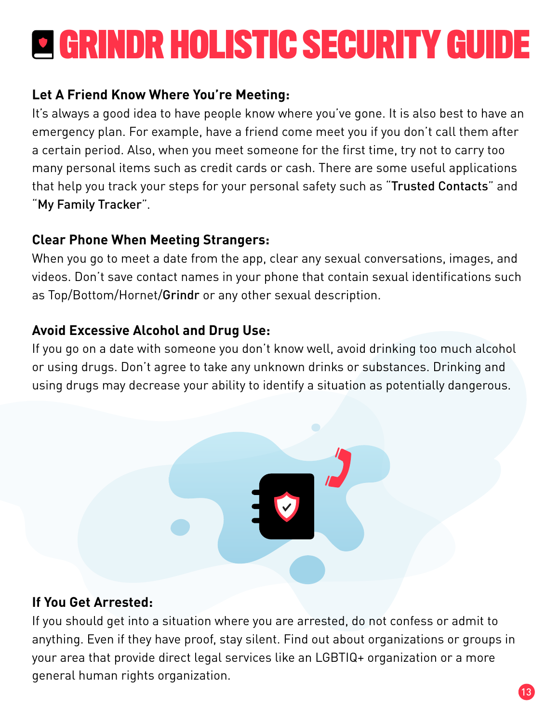#### **Let A Friend Know Where You're Meeting:**

It's always a good idea to have people know where you've gone. It is also best to have an emergency plan. For example, have a friend come meet you if you don't call them after a certain period. Also, when you meet someone for the first time, try not to carry too many personal items such as credit cards or cash. There are some useful applications that help you track your steps for your personal safety such as "Trusted Contacts" and "My Family Tracker".

#### **Clear Phone When Meeting Strangers:**

When you go to meet a date from the app, clear any sexual conversations, images, and videos. Don't save contact names in your phone that contain sexual identifications such as Top/Bottom/Hornet/Grindr or any other sexual description.

#### **Avoid Excessive Alcohol and Drug Use:**

If you go on a date with someone you don't know well, avoid drinking too much alcohol or using drugs. Don't agree to take any unknown drinks or substances. Drinking and using drugs may decrease your ability to identify a situation as potentially dangerous.



#### **If You Get Arrested:**

If you should get into a situation where you are arrested, do not confess or admit to anything. Even if they have proof, stay silent. Find out about organizations or groups in your area that provide direct legal services like an LGBTIQ+ organization or a more general human rights organization.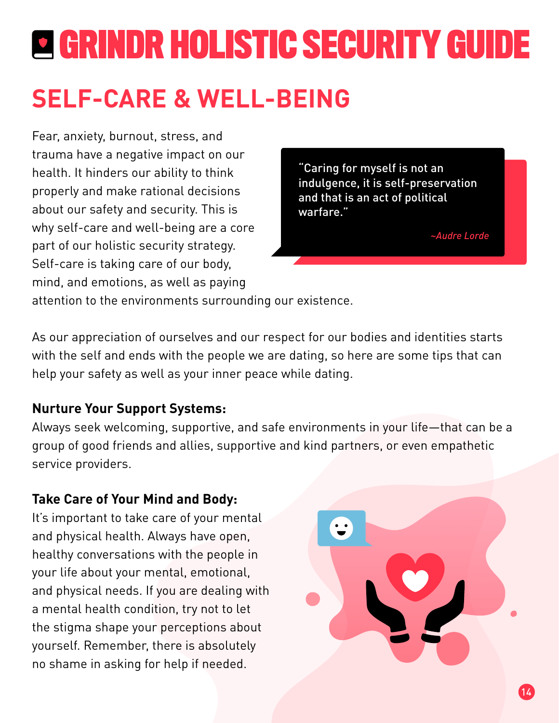### **SELF-CARE & WELL-BEING**

Fear, anxiety, burnout, stress, and trauma have a negative impact on our health. It hinders our ability to think properly and make rational decisions about our safety and security. This is why self-care and well-being are a core part of our holistic security strategy. Self-care is taking care of our body, mind, and emotions, as well as paying

"Caring for myself is not an indulgence, it is self-preservation and that is an act of political warfare."

*~Audre Lorde*

attention to the environments surrounding our existence.

with the self and ends with the people we are dating, so here are some tips that can help your safety as well as your inner peace while dating. As our appreciation of ourselves and our respect for our bodies and identities starts

#### **Nurture Your Support Systems:**

Always seek welcoming, supportive, and safe environments in your life—that can be a group of good friends and allies, supportive and kind partners, or even empathetic service providers.

#### **Take Care of Your Mind and Body:**

It's important to take care of your mental and physical health. Always have open, healthy conversations with the people in your life about your mental, emotional, and physical needs. If you are dealing with a mental health condition, try not to let the stigma shape your perceptions about yourself. Remember, there is absolutely no shame in asking for help if needed.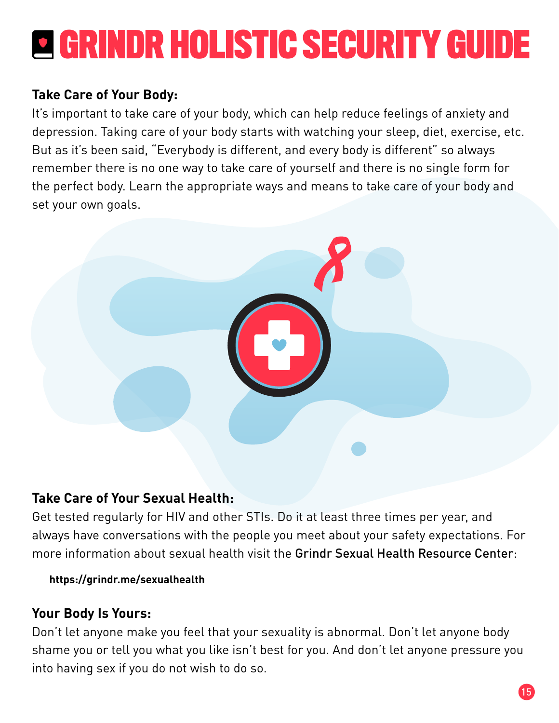#### **Take Care of Your Body:**

It's important to take care of your body, which can help reduce feelings of anxiety and depression. Taking care of your body starts with watching your sleep, diet, exercise, etc. But as it's been said, "Everybody is different, and every body is different" so always remember there is no one way to take care of yourself and there is no single form for the perfect body. Learn the appropriate ways and means to take care of your body and set your own goals.



#### **Take Care of Your Sexual Health:**

Get tested regularly for HIV and other STIs. Do it at least three times per year, and always have conversations with the people you meet about your safety expectations. For more information about sexual health visit the Grindr Sexual Health Resource Center:

#### **https://grindr.me/sexualhealth**

#### **Your Body Is Yours:**

Don't let anyone make you feel that your sexuality is abnormal. Don't let anyone body shame you or tell you what you like isn't best for you. And don't let anyone pressure you into having sex if you do not wish to do so.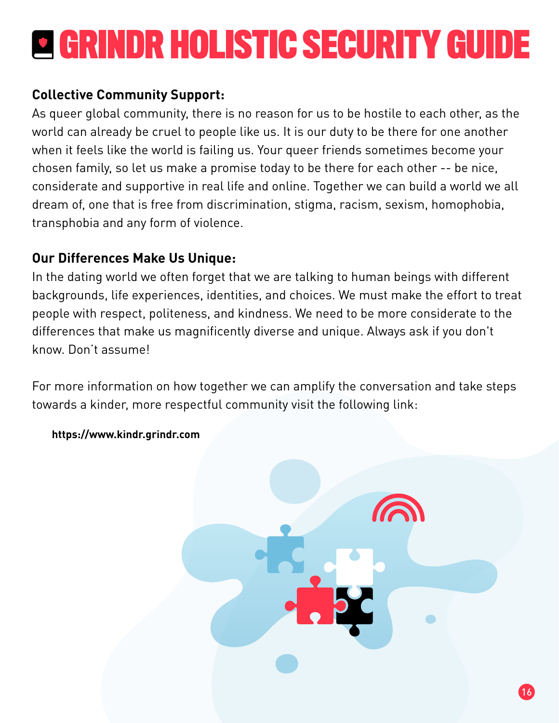#### **Collective Community Support:**

As queer global community, there is no reason for us to be hostile to each other, as the world can already be cruel to people like us. It is our duty to be there for one another when it feels like the world is failing us. Your queer friends sometimes become your chosen family, so let us make a promise today to be there for each other -- be nice, considerate and supportive in real life and online. Together we can build a world we all dream of, one that is free from discrimination, stigma, racism, sexism, homophobia, transphobia and any form of violence.

#### **Our Differences Make Us Unique:**

In the dating world we often forget that we are talking to human beings with different backgrounds, life experiences, identities, and choices. We must make the effort to treat people with respect, politeness, and kindness. We need to be more considerate to the differences that make us magnificently diverse and unique. Always ask if you don't know. Don't assume!

For more information on how together we can amplify the conversation and take steps towards a kinder, more respectful community visit the following link:



#### **https://www.kindr.grindr.com**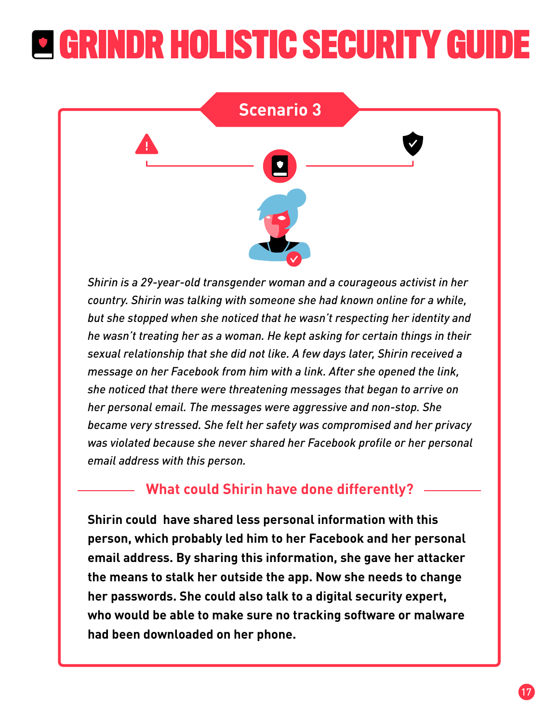

*Shirin is a 29-year-old transgender woman and a courageous activist in her country. Shirin was talking with someone she had known online for a while, but she stopped when she noticed that he wasn't respecting her identity and he wasn't treating her as a woman. He kept asking for certain things in their sexual relationship that she did not like. A few days later, Shirin received a message on her Facebook from him with a link. After she opened the link, she noticed that there were threatening messages that began to arrive on her personal email. The messages were aggressive and non-stop. She became very stressed. She felt her safety was compromised and her privacy was violated because she never shared her Facebook profile or her personal email address with this person.*

#### **What could Shirin have done differently?**

**Shirin could have shared less personal information with this person, which probably led him to her Facebook and her personal email address. By sharing this information, she gave her attacker the means to stalk her outside the app. Now she needs to change her passwords. She could also talk to a digital security expert, who would be able to make sure no tracking software or malware had been downloaded on her phone.**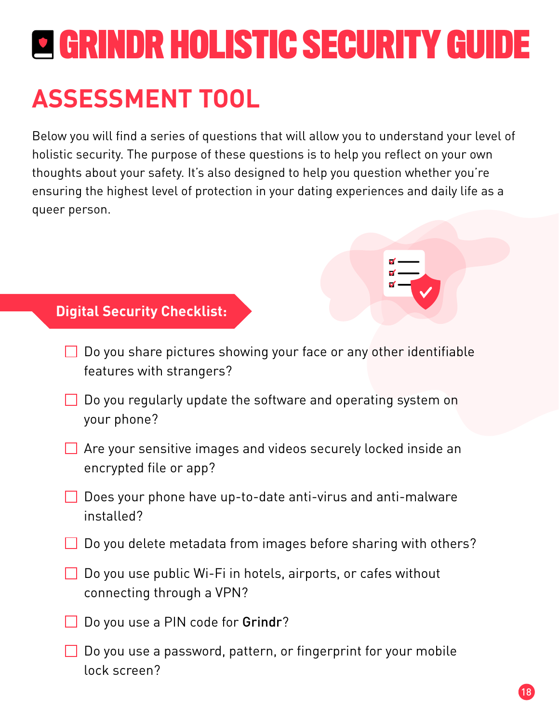### **ASSESSMENT TOOL**

Below you will find a series of questions that will allow you to understand your level of holistic security. The purpose of these questions is to help you reflect on your own thoughts about your safety. It's also designed to help you question whether you're ensuring the highest level of protection in your dating experiences and daily life as a queer person.

#### **Digital Security Checklist:**

- $\Box$  Do you share pictures showing your face or any other identifiable features with strangers?
- $\Box$  Do you regularly update the software and operating system on your phone?
- Are your sensitive images and videos securely locked inside an encrypted file or app?
- $\Box$  Does your phone have up-to-date anti-virus and anti-malware installed?
- Do you delete metadata from images before sharing with others?
- $\Box$  Do you use public Wi-Fi in hotels, airports, or cafes without connecting through a VPN?
- Do you use a PIN code for Grindr?
- $\Box$  Do you use a password, pattern, or fingerprint for your mobile lock screen?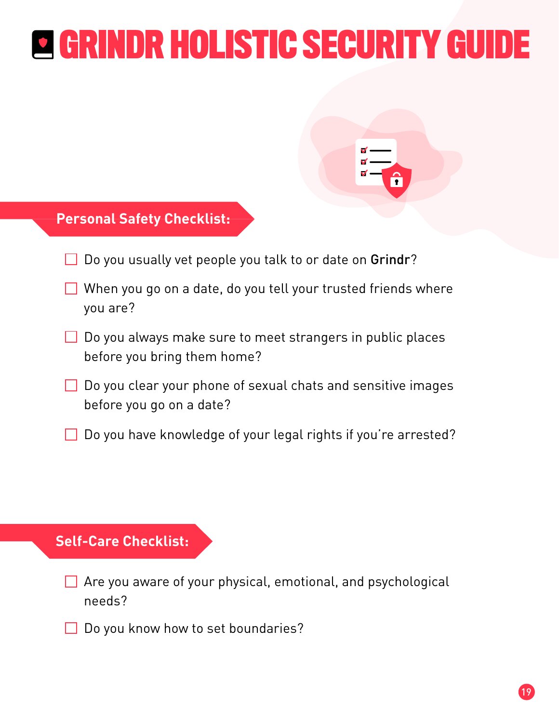$\overline{\mathbf{r}}$ 

#### **Personal Safety Checklist:**

- Do you usually vet people you talk to or date on Grindr?
- $\Box$  When you go on a date, do you tell your trusted friends where you are?
- $\Box$  Do you always make sure to meet strangers in public places before you bring them home?
- $\Box$  Do you clear your phone of sexual chats and sensitive images before you go on a date?
- $\Box$  Do you have knowledge of your legal rights if you're arrested?

#### **Self-Care Checklist:**

- Are you aware of your physical, emotional, and psychological needs?
- $\Box$  Do you know how to set boundaries?